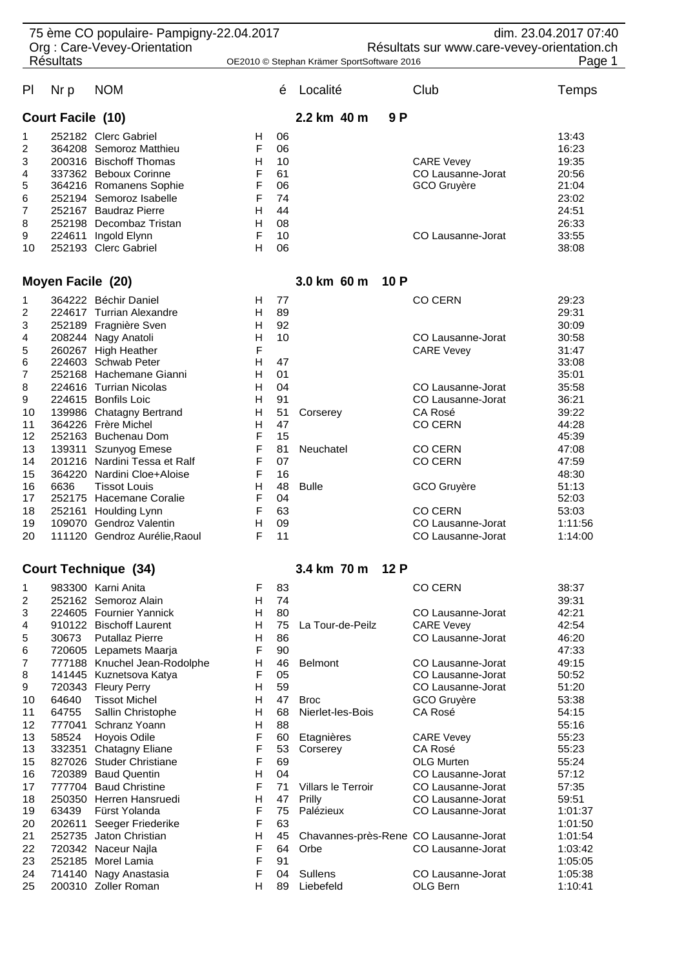| 75 ème CO populaire- Pampigny-22.04.2017<br>dim. 23.04.2017 07:40<br>Org: Care-Vevey-Orientation<br>Résultats sur www.care-vevey-orientation.ch |                                                 |                               |                                            |    |              |     |                   |         |  |
|-------------------------------------------------------------------------------------------------------------------------------------------------|-------------------------------------------------|-------------------------------|--------------------------------------------|----|--------------|-----|-------------------|---------|--|
|                                                                                                                                                 | <b>Résultats</b>                                |                               | OE2010 © Stephan Krämer SportSoftware 2016 |    |              |     |                   | Page 1  |  |
| P <sub>1</sub>                                                                                                                                  | Nr p                                            | <b>NOM</b>                    |                                            | é  | Localité     |     | Club              | Temps   |  |
| <b>Court Facile (10)</b>                                                                                                                        |                                                 |                               |                                            |    | 2.2 km 40 m  | 9P  |                   |         |  |
| 1                                                                                                                                               |                                                 | 252182 Clerc Gabriel          | H.                                         | 06 |              |     |                   | 13:43   |  |
| 2                                                                                                                                               |                                                 | 364208 Semoroz Matthieu       | F                                          | 06 |              |     |                   | 16:23   |  |
| 3                                                                                                                                               |                                                 | 200316 Bischoff Thomas        | н                                          | 10 |              |     | <b>CARE Vevey</b> | 19:35   |  |
| 4                                                                                                                                               |                                                 | 337362 Beboux Corinne         | F                                          | 61 |              |     | CO Lausanne-Jorat | 20:56   |  |
| 5                                                                                                                                               |                                                 | 364216 Romanens Sophie        | F                                          | 06 |              |     | GCO Gruyère       | 21:04   |  |
| 6                                                                                                                                               |                                                 | 252194 Semoroz Isabelle       | F                                          | 74 |              |     |                   | 23:02   |  |
| 7                                                                                                                                               |                                                 | 252167 Baudraz Pierre         | н                                          | 44 |              |     |                   | 24:51   |  |
| 8                                                                                                                                               |                                                 | 252198 Decombaz Tristan       | Н                                          | 08 |              |     |                   | 26:33   |  |
| 9                                                                                                                                               |                                                 | 224611 Ingold Elynn           | F                                          | 10 |              |     | CO Lausanne-Jorat | 33:55   |  |
| 10                                                                                                                                              |                                                 | 252193 Clerc Gabriel          | H                                          | 06 |              |     |                   | 38:08   |  |
|                                                                                                                                                 | Moyen Facile (20)                               |                               |                                            |    | 3.0 km 60 m  | 10P |                   |         |  |
| 1                                                                                                                                               |                                                 | 364222 Béchir Daniel          | H                                          | 77 |              |     | <b>CO CERN</b>    | 29:23   |  |
| 2                                                                                                                                               |                                                 | 224617 Turrian Alexandre      | н                                          | 89 |              |     |                   | 29:31   |  |
| 3                                                                                                                                               |                                                 | 252189 Fragnière Sven         | н                                          | 92 |              |     |                   | 30:09   |  |
| 4                                                                                                                                               |                                                 | 208244 Nagy Anatoli           | Н                                          | 10 |              |     | CO Lausanne-Jorat | 30:58   |  |
| 5                                                                                                                                               |                                                 | 260267 High Heather           | F                                          |    |              |     | <b>CARE Vevey</b> | 31:47   |  |
| 6                                                                                                                                               |                                                 | 224603 Schwab Peter           | н                                          | 47 |              |     |                   | 33:08   |  |
| 7                                                                                                                                               |                                                 | 252168 Hachemane Gianni       | н                                          | 01 |              |     |                   | 35:01   |  |
| 8                                                                                                                                               |                                                 | 224616 Turrian Nicolas        | н                                          | 04 |              |     | CO Lausanne-Jorat | 35:58   |  |
| 9                                                                                                                                               |                                                 | 224615 Bonfils Loic           | H                                          | 91 |              |     | CO Lausanne-Jorat | 36:21   |  |
| 10                                                                                                                                              |                                                 | 139986 Chatagny Bertrand      | н                                          | 51 | Corserey     |     | CA Rosé           | 39:22   |  |
| 11                                                                                                                                              |                                                 | 364226 Frère Michel           | H                                          | 47 |              |     | <b>CO CERN</b>    | 44:28   |  |
| 12                                                                                                                                              |                                                 | 252163 Buchenau Dom           | F                                          | 15 |              |     |                   | 45:39   |  |
| 13                                                                                                                                              |                                                 | 139311 Szunyog Emese          | F                                          | 81 | Neuchatel    |     | <b>CO CERN</b>    | 47:08   |  |
| 14                                                                                                                                              |                                                 | 201216 Nardini Tessa et Ralf  | F                                          | 07 |              |     | <b>CO CERN</b>    | 47:59   |  |
| 15                                                                                                                                              |                                                 | 364220 Nardini Cloe+Aloise    | F                                          | 16 |              |     |                   | 48:30   |  |
| 16                                                                                                                                              | 6636                                            | <b>Tissot Louis</b>           | н                                          | 48 | <b>Bulle</b> |     | GCO Gruyère       | 51:13   |  |
| 17                                                                                                                                              |                                                 | 252175 Hacemane Coralie       | F                                          | 04 |              |     |                   | 52:03   |  |
| 18                                                                                                                                              |                                                 | 252161 Houlding Lynn          | F                                          | 63 |              |     | <b>CO CERN</b>    | 53:03   |  |
| 19                                                                                                                                              |                                                 | 109070 Gendroz Valentin       | H                                          | 09 |              |     | CO Lausanne-Jorat | 1:11:56 |  |
| 20                                                                                                                                              |                                                 | 111120 Gendroz Aurélie, Raoul | F                                          | 11 |              |     | CO Lausanne-Jorat | 1:14:00 |  |
|                                                                                                                                                 | <b>Court Technique (34)</b><br>3.4 km 70 m 12 P |                               |                                            |    |              |     |                   |         |  |
|                                                                                                                                                 |                                                 |                               |                                            |    |              |     |                   |         |  |
| 1                                                                                                                                               |                                                 | 983300 Karni Anita            | F                                          | 83 |              |     | <b>CO CERN</b>    | 38:37   |  |
| 2                                                                                                                                               |                                                 | 252162 Semoroz Alain          | н                                          | 74 |              |     |                   | 39:31   |  |
| 3                                                                                                                                               |                                                 | 224605 Fournier Yannick       | H                                          | 80 |              |     | CO Lausanne-Jorat | 42:21   |  |

| 3   | 224605 | Fournier Yannick         |
|-----|--------|--------------------------|
| 4   | 910122 | <b>Bischoff Laurent</b>  |
| 5   | 30673  | Putallaz Pierre          |
| 6   | 720605 | Lepamets Maarja          |
| 7   | 777188 | Knuchel Jean-Rodolpł     |
| 8   | 141445 | Kuznetsova Katya         |
| 9   | 720343 | Fleury Perry             |
| 10  | 64640  | <b>Tissot Michel</b>     |
| 11  | 64755  | Sallin Christophe        |
| 12  | 777041 | Schranz Yoann            |
| 13  | 58524  | Hoyois Odile             |
| 13  | 332351 | Chatagny Eliane          |
| 15  | 827026 | <b>Studer Christiane</b> |
| 16  | 720389 | <b>Baud Quentin</b>      |
| 17  | 777704 | <b>Baud Christine</b>    |
| 18  | 250350 | Herren Hansruedi         |
| 19  | 63439  | Fürst Yolanda            |
| 20  | 202611 | Seeger Friederike        |
| 21  | 252735 | Jaton Christian          |
| 22  | 720342 | Naceur Najla             |
| 23. | 252185 | Morel Lamia              |
| 24  | 714140 | Nagy Anastasia           |
| 25  | 200310 | Zoller Roman             |

| ▃  | 2021 D.Z | <b>UGHIUIUL AIGHI</b>        | . . | $\mathbf{r}$ |                                       |                   | JJ.J I  |
|----|----------|------------------------------|-----|--------------|---------------------------------------|-------------------|---------|
| 3  |          | 224605 Fournier Yannick      | н   | 80           |                                       | CO Lausanne-Jorat | 42:21   |
| 4  |          | 910122 Bischoff Laurent      | H.  | 75           | La Tour-de-Peilz                      | <b>CARE Vevey</b> | 42:54   |
| 5  | 30673    | <b>Putallaz Pierre</b>       | н   | 86           |                                       | CO Lausanne-Jorat | 46:20   |
| 6  |          | 720605 Lepamets Maarja       | F   | 90           |                                       |                   | 47:33   |
| 7  |          | 777188 Knuchel Jean-Rodolphe | H   | 46           | <b>Belmont</b>                        | CO Lausanne-Jorat | 49:15   |
| 8  |          | 141445 Kuznetsova Katya      | F   | 05           |                                       | CO Lausanne-Jorat | 50:52   |
| 9  |          | 720343 Fleury Perry          | H   | 59           |                                       | CO Lausanne-Jorat | 51:20   |
| 10 | 64640    | <b>Tissot Michel</b>         | н   | 47           | <b>Broc</b>                           | GCO Gruyère       | 53:38   |
| 11 | 64755    | Sallin Christophe            | H   | 68           | Nierlet-les-Bois                      | CA Rosé           | 54:15   |
| 12 | 777041   | Schranz Yoann                | H   | 88           |                                       |                   | 55:16   |
| 13 | 58524    | Hoyois Odile                 | F   | 60           | Etagnières                            | <b>CARE Vevey</b> | 55:23   |
| 13 | 332351   | <b>Chatagny Eliane</b>       | F   | 53           | Corserey                              | CA Rosé           | 55:23   |
| 15 | 827026   | <b>Studer Christiane</b>     | F   | 69           |                                       | <b>OLG Murten</b> | 55:24   |
| 16 | 720389   | <b>Baud Quentin</b>          | H   | 04           |                                       | CO Lausanne-Jorat | 57:12   |
| 17 | 777704   | <b>Baud Christine</b>        | F   | 71           | <b>Villars le Terroir</b>             | CO Lausanne-Jorat | 57:35   |
| 18 |          | 250350 Herren Hansruedi      | H   | 47           | Prilly                                | CO Lausanne-Jorat | 59:51   |
| 19 | 63439    | Fürst Yolanda                | F   | 75           | Palézieux                             | CO Lausanne-Jorat | 1:01:37 |
| 20 | 202611   | Seeger Friederike            | F   | 63           |                                       |                   | 1:01:50 |
| 21 | 252735   | Jaton Christian              | H   | 45           | Chavannes-près-Rene CO Lausanne-Jorat |                   | 1:01:54 |
| 22 |          | 720342 Naceur Naila          | F   | 64           | Orbe                                  | CO Lausanne-Jorat | 1:03:42 |
| 23 | 252185   | Morel Lamia                  | F   | 91           |                                       |                   | 1:05:05 |
| 24 |          | 714140 Nagy Anastasia        | F   | 04           | <b>Sullens</b>                        | CO Lausanne-Jorat | 1:05:38 |
| 25 |          | 200310 Zoller Roman          | н   | 89           | Liebefeld                             | OLG Bern          | 1:10:41 |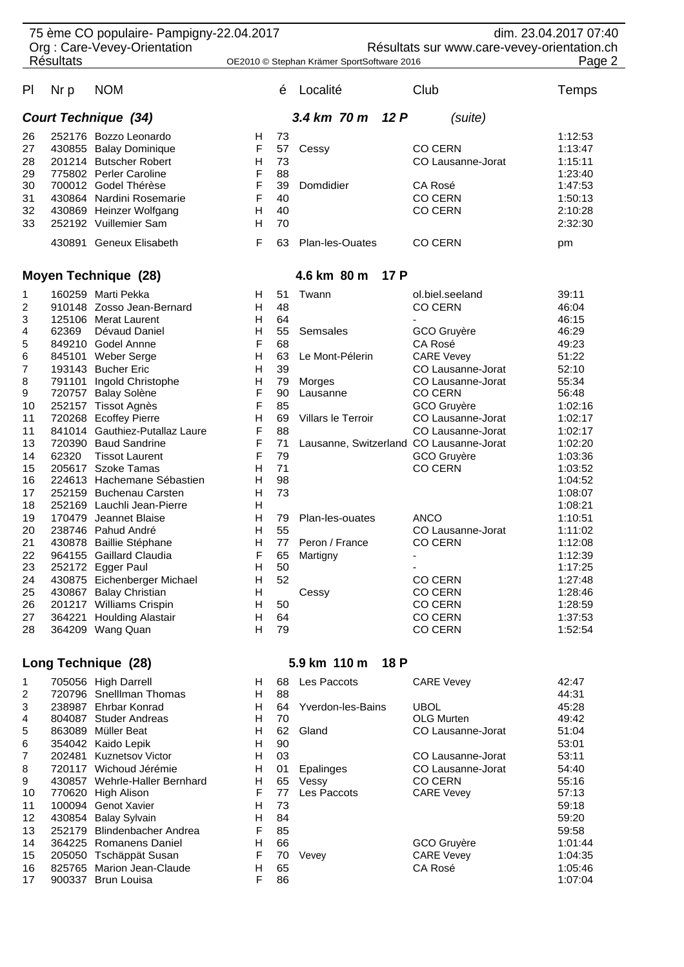|                                             |                  | 75 ème CO populaire- Pampigny-22.04.2017          |                                            |                                             |                    |                                                        | dim. 23.04.2017 07:40 |  |
|---------------------------------------------|------------------|---------------------------------------------------|--------------------------------------------|---------------------------------------------|--------------------|--------------------------------------------------------|-----------------------|--|
| Org: Care-Vevey-Orientation                 |                  |                                                   |                                            | Résultats sur www.care-vevey-orientation.ch |                    |                                                        |                       |  |
|                                             | <b>Résultats</b> |                                                   | OE2010 © Stephan Krämer SportSoftware 2016 |                                             |                    |                                                        | Page 2                |  |
|                                             |                  |                                                   |                                            |                                             |                    |                                                        |                       |  |
| PI                                          | Nr p             | <b>NOM</b>                                        |                                            | é                                           | Localité           | Club                                                   | Temps                 |  |
|                                             |                  | <b>Court Technique (34)</b>                       |                                            |                                             | 3.4 km 70 m 12 P   | (suite)                                                |                       |  |
| 26                                          |                  | 252176 Bozzo Leonardo                             | H                                          | 73                                          |                    |                                                        | 1:12:53               |  |
| 27                                          |                  | 430855 Balay Dominique                            | F                                          | 57                                          | Cessy              | <b>CO CERN</b>                                         | 1:13:47               |  |
| 28                                          |                  | 201214 Butscher Robert                            | н                                          | 73                                          |                    | CO Lausanne-Jorat                                      | 1:15:11               |  |
| 29                                          |                  | 775802 Perler Caroline                            | F                                          | 88                                          |                    |                                                        | 1:23:40               |  |
| 30                                          |                  | 700012 Godel Thérèse                              | F                                          | 39                                          | Domdidier          | CA Rosé                                                | 1:47:53               |  |
| 31                                          |                  | 430864 Nardini Rosemarie                          | F                                          | 40                                          |                    | <b>CO CERN</b>                                         | 1:50:13               |  |
| 32                                          |                  | 430869 Heinzer Wolfgang                           | н                                          | 40                                          |                    | <b>CO CERN</b>                                         | 2:10:28               |  |
| 33                                          |                  | 252192 Vuillemier Sam                             | H                                          | 70                                          |                    |                                                        | 2:32:30               |  |
|                                             |                  | 430891 Geneux Elisabeth                           | F                                          | 63                                          | Plan-les-Ouates    | <b>CO CERN</b>                                         | pm                    |  |
|                                             |                  | <b>Moyen Technique (28)</b>                       |                                            | 4.6 km 80 m 17 P                            |                    |                                                        |                       |  |
| 1                                           |                  | 160259 Marti Pekka                                | H                                          | 51                                          | Twann              | ol.biel.seeland                                        | 39:11                 |  |
| 2                                           |                  | 910148 Zosso Jean-Bernard                         | H                                          | 48                                          |                    | <b>CO CERN</b>                                         | 46:04                 |  |
| 3                                           |                  | 125106 Merat Laurent                              | н                                          | 64                                          |                    |                                                        | 46:15                 |  |
| 4                                           | 62369            | Dévaud Daniel                                     | Н                                          | 55                                          | Semsales           | GCO Gruyère                                            | 46:29                 |  |
| 5                                           |                  | 849210 Godel Annne                                | F                                          | 68                                          |                    | CA Rosé                                                | 49:23                 |  |
| 6                                           |                  | 845101 Weber Serge                                | Н                                          | 63                                          | Le Mont-Pélerin    | <b>CARE Vevey</b>                                      | 51:22                 |  |
| 7                                           |                  | 193143 Bucher Eric                                | н                                          | 39                                          |                    | CO Lausanne-Jorat                                      | 52:10                 |  |
| 8                                           |                  | 791101 Ingold Christophe                          | Η                                          | 79                                          | Morges             | CO Lausanne-Jorat                                      | 55:34                 |  |
| 9                                           |                  | 720757 Balay Solène                               | F                                          | 90                                          | Lausanne           | <b>CO CERN</b>                                         | 56:48                 |  |
| 10                                          |                  | 252157 Tissot Agnès                               | F                                          | 85                                          |                    | GCO Gruyère                                            | 1:02:16               |  |
| 11                                          |                  | 720268 Ecoffey Pierre                             | Н                                          | 69                                          | Villars le Terroir | CO Lausanne-Jorat                                      | 1:02:17               |  |
| 11                                          |                  | 841014 Gauthiez-Putallaz Laure                    | F                                          | 88                                          |                    | CO Lausanne-Jorat                                      | 1:02:17               |  |
| 13                                          | 62320            | 720390 Baud Sandrine<br><b>Tissot Laurent</b>     | F<br>F                                     | 71<br>79                                    |                    | Lausanne, Switzerland CO Lausanne-Jorat<br>GCO Gruyère | 1:02:20<br>1:03:36    |  |
| 14<br>15                                    |                  | 205617 Szoke Tamas                                | H                                          | 71                                          |                    | <b>CO CERN</b>                                         | 1:03:52               |  |
| 16                                          |                  | 224613 Hachemane Sébastien                        | н                                          | 98                                          |                    |                                                        | 1:04:52               |  |
| 17                                          |                  | 252159 Buchenau Carsten                           | H                                          | 73                                          |                    |                                                        | 1:08:07               |  |
| 18                                          |                  | 252169 Lauchli Jean-Pierre                        | Н                                          |                                             |                    |                                                        | 1:08:21               |  |
| 19                                          | 170479           | Jeannet Blaise                                    | Н                                          | 79                                          | Plan-les-ouates    | <b>ANCO</b>                                            | 1:10:51               |  |
| 20                                          |                  | 238746 Pahud André                                | H                                          | 55                                          |                    | CO Lausanne-Jorat                                      | 1:11:02               |  |
| 21                                          |                  | 430878 Baillie Stéphane                           | H                                          | 77                                          | Peron / France     | <b>CO CERN</b>                                         | 1:12:08               |  |
| 22                                          |                  | 964155 Gaillard Claudia                           | F                                          | 65                                          | Martigny           |                                                        | 1:12:39               |  |
| 23                                          |                  | 252172 Egger Paul                                 | н                                          | 50                                          |                    |                                                        | 1:17:25               |  |
| 24                                          |                  | 430875 Eichenberger Michael                       | н                                          | 52                                          |                    | <b>CO CERN</b>                                         | 1:27:48               |  |
| 25<br>26                                    |                  | 430867 Balay Christian<br>201217 Williams Crispin | н<br>н                                     | 50                                          | Cessy              | <b>CO CERN</b><br><b>CO CERN</b>                       | 1:28:46<br>1:28:59    |  |
| 27                                          |                  | 364221 Houlding Alastair                          | н                                          | 64                                          |                    | <b>CO CERN</b>                                         | 1:37:53               |  |
| 28                                          |                  | 364209 Wang Quan                                  | H                                          | 79                                          |                    | <b>CO CERN</b>                                         | 1:52:54               |  |
| Long Technique (28)<br>5.9 km 110 m<br>18 P |                  |                                                   |                                            |                                             |                    |                                                        |                       |  |
|                                             |                  |                                                   |                                            |                                             |                    |                                                        |                       |  |
| 1                                           |                  | 705056 High Darrell                               | H                                          | 68                                          | Les Paccots        | <b>CARE Vevey</b>                                      | 42:47                 |  |
| 2                                           |                  | 720796 Snelllman Thomas                           | н                                          | 88                                          |                    |                                                        | 44:31                 |  |
| 3<br>4                                      |                  | 238987 Ehrbar Konrad<br>804087 Studer Andreas     | H<br>Н                                     | 64<br>70                                    | Yverdon-les-Bains  | <b>UBOL</b><br><b>OLG Murten</b>                       | 45:28<br>49:42        |  |
| 5                                           |                  | 863089 Müller Beat                                | Н                                          | 62                                          | Gland              | CO Lausanne-Jorat                                      | 51:04                 |  |
| 6                                           |                  | 354042 Kaido Lepik                                | H                                          | 90                                          |                    |                                                        | 53:01                 |  |
| 7                                           |                  | 202481 Kuznetsov Victor                           | H                                          | 03                                          |                    | CO Lausanne-Jorat                                      | 53:11                 |  |
| 8                                           |                  | 720117 Wichoud Jérémie                            | н                                          | 01                                          | Epalinges          | CO Lausanne-Jorat                                      | 54:40                 |  |
| 9                                           |                  | 430857 Wehrle-Haller Bernhard                     | H                                          | 65                                          | Vessy              | <b>CO CERN</b>                                         | 55:16                 |  |
| 10                                          |                  | 770620 High Alison                                | F                                          | 77                                          | Les Paccots        | <b>CARE Vevey</b>                                      | 57:13                 |  |
| 11                                          |                  | 100094 Genot Xavier                               | H                                          | 73                                          |                    |                                                        | 59:18                 |  |

12 430854 Balay Sylvain **H** 84 59:20<br>
13 252179 Blindenbacher Andrea F 85 252179 Blindenbacher Andrea F 85 59:58 1101:44 364225 Romanens Daniel H 66 GCO Gruyère 1:01:44 GCO Gruyère 1:01:44<br>205050 Tschäppät Susan F 70 Vevey CARE Vevey 1:04:35 205050 Tschäppät Susan F 70 Vevey CARE Vevey 1:04:35

 825765 Marion Jean-Claude H 65 CA Rosé 1:05:46 17 900337 Brun Louisa